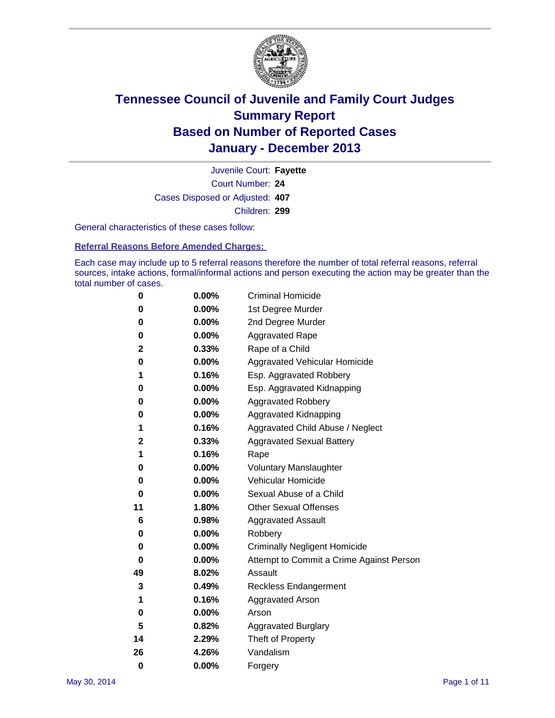

Court Number: **24** Juvenile Court: **Fayette** Cases Disposed or Adjusted: **407** Children: **299**

General characteristics of these cases follow:

**Referral Reasons Before Amended Charges:** 

Each case may include up to 5 referral reasons therefore the number of total referral reasons, referral sources, intake actions, formal/informal actions and person executing the action may be greater than the total number of cases.

| 0        | 0.00%    | <b>Criminal Homicide</b>                 |
|----------|----------|------------------------------------------|
| 0        | 0.00%    | 1st Degree Murder                        |
| 0        | 0.00%    | 2nd Degree Murder                        |
| 0        | $0.00\%$ | <b>Aggravated Rape</b>                   |
| 2        | 0.33%    | Rape of a Child                          |
| 0        | 0.00%    | <b>Aggravated Vehicular Homicide</b>     |
| 1        | 0.16%    | Esp. Aggravated Robbery                  |
| 0        | 0.00%    | Esp. Aggravated Kidnapping               |
| 0        | 0.00%    | <b>Aggravated Robbery</b>                |
| 0        | 0.00%    | Aggravated Kidnapping                    |
| 1        | 0.16%    | Aggravated Child Abuse / Neglect         |
| 2        | 0.33%    | <b>Aggravated Sexual Battery</b>         |
| 1        | 0.16%    | Rape                                     |
| 0        | 0.00%    | <b>Voluntary Manslaughter</b>            |
| 0        | 0.00%    | Vehicular Homicide                       |
| 0        | 0.00%    | Sexual Abuse of a Child                  |
| 11       | 1.80%    | <b>Other Sexual Offenses</b>             |
| 6        | 0.98%    | <b>Aggravated Assault</b>                |
| 0        | 0.00%    | Robbery                                  |
| 0        | 0.00%    | <b>Criminally Negligent Homicide</b>     |
| 0        | 0.00%    | Attempt to Commit a Crime Against Person |
| 49       | 8.02%    | Assault                                  |
| 3        | 0.49%    | <b>Reckless Endangerment</b>             |
| 1        | 0.16%    | <b>Aggravated Arson</b>                  |
| 0        | 0.00%    | Arson                                    |
| 5        | 0.82%    | <b>Aggravated Burglary</b>               |
| 14       | 2.29%    | Theft of Property                        |
| 26       | 4.26%    | Vandalism                                |
| $\bf{0}$ | 0.00%    | Forgery                                  |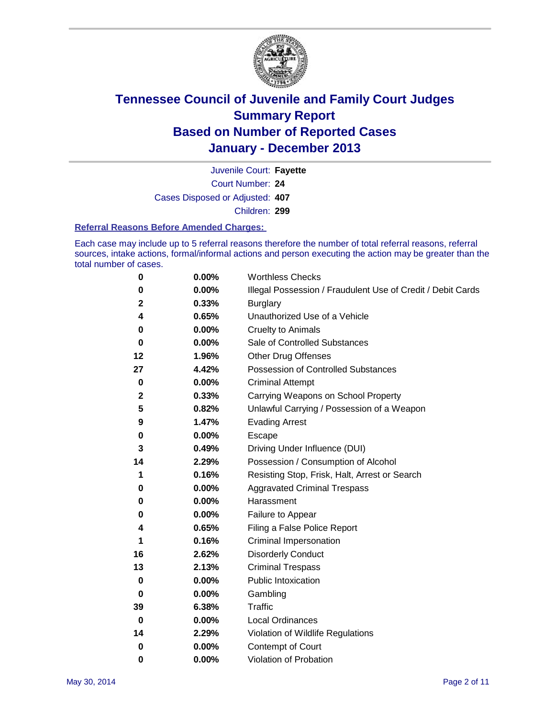

Court Number: **24** Juvenile Court: **Fayette** Cases Disposed or Adjusted: **407** Children: **299**

#### **Referral Reasons Before Amended Charges:**

Each case may include up to 5 referral reasons therefore the number of total referral reasons, referral sources, intake actions, formal/informal actions and person executing the action may be greater than the total number of cases.

| 0           | 0.00% | <b>Worthless Checks</b>                                     |
|-------------|-------|-------------------------------------------------------------|
| 0           | 0.00% | Illegal Possession / Fraudulent Use of Credit / Debit Cards |
| 2           | 0.33% | <b>Burglary</b>                                             |
| 4           | 0.65% | Unauthorized Use of a Vehicle                               |
| 0           | 0.00% | <b>Cruelty to Animals</b>                                   |
| $\bf{0}$    | 0.00% | Sale of Controlled Substances                               |
| 12          | 1.96% | Other Drug Offenses                                         |
| 27          | 4.42% | Possession of Controlled Substances                         |
| 0           | 0.00% | <b>Criminal Attempt</b>                                     |
| $\mathbf 2$ | 0.33% | Carrying Weapons on School Property                         |
| 5           | 0.82% | Unlawful Carrying / Possession of a Weapon                  |
| 9           | 1.47% | <b>Evading Arrest</b>                                       |
| 0           | 0.00% | Escape                                                      |
| 3           | 0.49% | Driving Under Influence (DUI)                               |
| 14          | 2.29% | Possession / Consumption of Alcohol                         |
| 1           | 0.16% | Resisting Stop, Frisk, Halt, Arrest or Search               |
| 0           | 0.00% | <b>Aggravated Criminal Trespass</b>                         |
| 0           | 0.00% | Harassment                                                  |
| 0           | 0.00% | Failure to Appear                                           |
| 4           | 0.65% | Filing a False Police Report                                |
| 1           | 0.16% | Criminal Impersonation                                      |
| 16          | 2.62% | <b>Disorderly Conduct</b>                                   |
| 13          | 2.13% | <b>Criminal Trespass</b>                                    |
| 0           | 0.00% | <b>Public Intoxication</b>                                  |
| 0           | 0.00% | Gambling                                                    |
| 39          | 6.38% | Traffic                                                     |
| $\bf{0}$    | 0.00% | <b>Local Ordinances</b>                                     |
| 14          | 2.29% | Violation of Wildlife Regulations                           |
| $\bf{0}$    | 0.00% | Contempt of Court                                           |
| 0           | 0.00% | Violation of Probation                                      |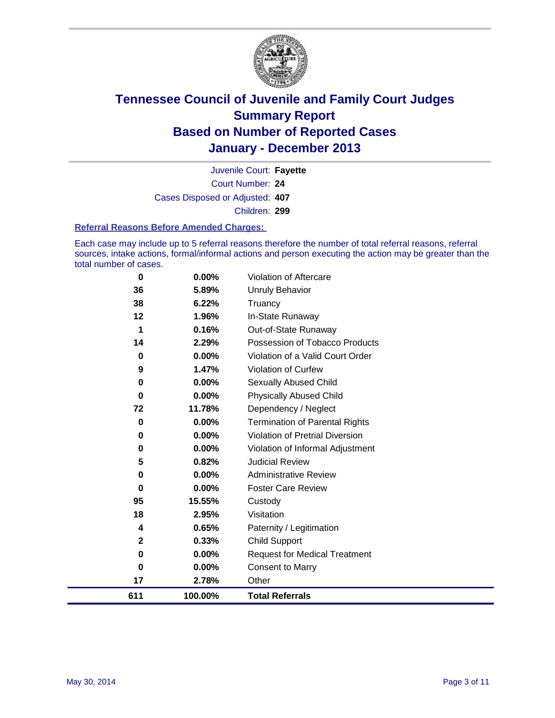

Court Number: **24** Juvenile Court: **Fayette** Cases Disposed or Adjusted: **407** Children: **299**

#### **Referral Reasons Before Amended Charges:**

Each case may include up to 5 referral reasons therefore the number of total referral reasons, referral sources, intake actions, formal/informal actions and person executing the action may be greater than the total number of cases.

| $\bf{0}$                | 0.00%    | Violation of Aftercare                 |
|-------------------------|----------|----------------------------------------|
| 36                      | 5.89%    | <b>Unruly Behavior</b>                 |
| 38                      | 6.22%    | Truancy                                |
| $12 \,$                 | 1.96%    | In-State Runaway                       |
| 1                       | 0.16%    | Out-of-State Runaway                   |
| 14                      | 2.29%    | Possession of Tobacco Products         |
| 0                       | 0.00%    | Violation of a Valid Court Order       |
| 9                       | 1.47%    | <b>Violation of Curfew</b>             |
| 0                       | 0.00%    | Sexually Abused Child                  |
| 0                       | 0.00%    | <b>Physically Abused Child</b>         |
| 72                      | 11.78%   | Dependency / Neglect                   |
| 0                       | 0.00%    | <b>Termination of Parental Rights</b>  |
| 0                       | 0.00%    | <b>Violation of Pretrial Diversion</b> |
| 0                       | 0.00%    | Violation of Informal Adjustment       |
| 5                       | 0.82%    | <b>Judicial Review</b>                 |
| 0                       | $0.00\%$ | <b>Administrative Review</b>           |
| 0                       | 0.00%    | <b>Foster Care Review</b>              |
| 95                      | 15.55%   | Custody                                |
| 18                      | 2.95%    | Visitation                             |
| 4                       | 0.65%    | Paternity / Legitimation               |
| $\overline{\mathbf{2}}$ | 0.33%    | <b>Child Support</b>                   |
| $\bf{0}$                | 0.00%    | <b>Request for Medical Treatment</b>   |
| $\bf{0}$                | 0.00%    | <b>Consent to Marry</b>                |
| 17                      | 2.78%    | Other                                  |
| 611                     | 100.00%  | <b>Total Referrals</b>                 |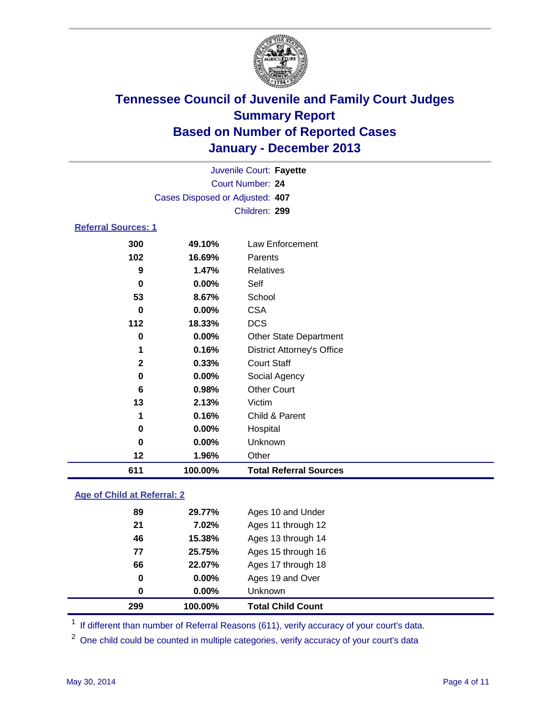

|                            |                                 | Juvenile Court: Fayette           |  |  |
|----------------------------|---------------------------------|-----------------------------------|--|--|
| Court Number: 24           |                                 |                                   |  |  |
|                            | Cases Disposed or Adjusted: 407 |                                   |  |  |
|                            |                                 | Children: 299                     |  |  |
| <b>Referral Sources: 1</b> |                                 |                                   |  |  |
| 300                        | 49.10%                          | Law Enforcement                   |  |  |
| 102                        | 16.69%                          | Parents                           |  |  |
| 9                          | 1.47%                           | <b>Relatives</b>                  |  |  |
| 0                          | 0.00%                           | Self                              |  |  |
| 53                         | 8.67%                           | School                            |  |  |
| 0                          | 0.00%                           | <b>CSA</b>                        |  |  |
| 112                        | 18.33%                          | <b>DCS</b>                        |  |  |
| 0                          | $0.00\%$                        | <b>Other State Department</b>     |  |  |
| 1                          | 0.16%                           | <b>District Attorney's Office</b> |  |  |
| $\mathbf{2}$               | 0.33%                           | <b>Court Staff</b>                |  |  |
| 0                          | $0.00\%$                        | Social Agency                     |  |  |
| 6                          | 0.98%                           | <b>Other Court</b>                |  |  |
| 13                         | 2.13%                           | Victim                            |  |  |
| 1                          | 0.16%                           | Child & Parent                    |  |  |
| 0                          | 0.00%                           | Hospital                          |  |  |

 **0.00%** Unknown **1.96%** Other **100.00% Total Referral Sources**

### **Age of Child at Referral: 2**

|    | 100.00%  | <b>Total Child Count</b> |
|----|----------|--------------------------|
| 0  | $0.00\%$ | Unknown                  |
| 0  | $0.00\%$ | Ages 19 and Over         |
| 66 | 22.07%   | Ages 17 through 18       |
| 77 | 25.75%   | Ages 15 through 16       |
| 46 | 15.38%   | Ages 13 through 14       |
| 21 | 7.02%    | Ages 11 through 12       |
| 89 | 29.77%   | Ages 10 and Under        |
|    | 299      |                          |

<sup>1</sup> If different than number of Referral Reasons (611), verify accuracy of your court's data.

<sup>2</sup> One child could be counted in multiple categories, verify accuracy of your court's data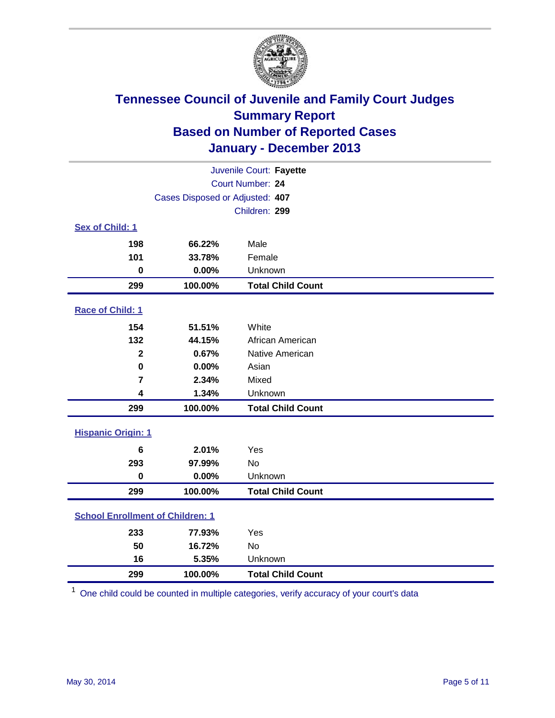

|                                         |                                 | Juvenile Court: Fayette  |
|-----------------------------------------|---------------------------------|--------------------------|
|                                         |                                 | Court Number: 24         |
|                                         | Cases Disposed or Adjusted: 407 |                          |
|                                         |                                 | Children: 299            |
| Sex of Child: 1                         |                                 |                          |
| 198                                     | 66.22%                          | Male                     |
| 101                                     | 33.78%                          | Female                   |
| $\bf{0}$                                | 0.00%                           | Unknown                  |
| 299                                     | 100.00%                         | <b>Total Child Count</b> |
| Race of Child: 1                        |                                 |                          |
| 154                                     | 51.51%                          | White                    |
| 132                                     | 44.15%                          | African American         |
| $\mathbf 2$                             | 0.67%                           | Native American          |
| $\mathbf 0$                             | 0.00%                           | Asian                    |
| $\overline{7}$                          | 2.34%                           | Mixed                    |
| 4                                       | 1.34%                           | Unknown                  |
| 299                                     | 100.00%                         | <b>Total Child Count</b> |
| <b>Hispanic Origin: 1</b>               |                                 |                          |
| 6                                       | 2.01%                           | Yes                      |
| 293                                     | 97.99%                          | <b>No</b>                |
| $\mathbf 0$                             | 0.00%                           | Unknown                  |
| 299                                     | 100.00%                         | <b>Total Child Count</b> |
| <b>School Enrollment of Children: 1</b> |                                 |                          |
| 233                                     | 77.93%                          | Yes                      |
| 50                                      | 16.72%                          | <b>No</b>                |
| 16                                      | 5.35%                           | Unknown                  |
| 299                                     | 100.00%                         | <b>Total Child Count</b> |

One child could be counted in multiple categories, verify accuracy of your court's data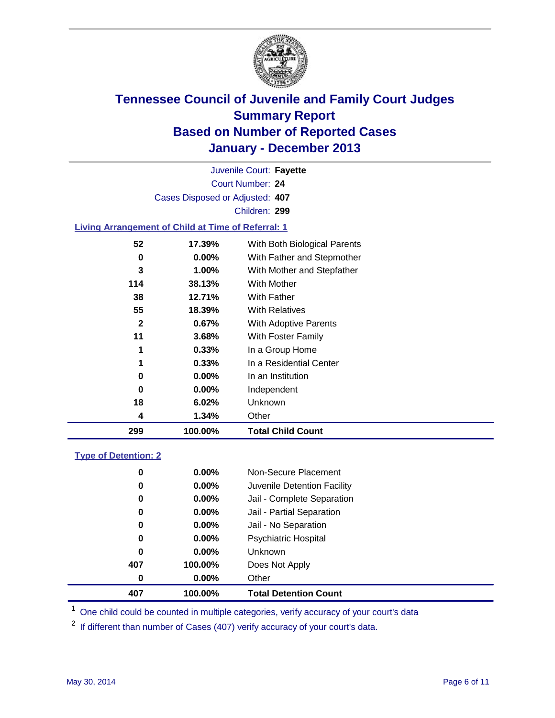

Court Number: **24** Juvenile Court: **Fayette** Cases Disposed or Adjusted: **407** Children: **299**

### **Living Arrangement of Child at Time of Referral: 1**

| 299 | 100.00%       | <b>Total Child Count</b>     |
|-----|---------------|------------------------------|
|     | 1.34%<br>4    | Other                        |
| 18  | 6.02%         | Unknown                      |
|     | $0.00\%$<br>0 | Independent                  |
|     | $0.00\%$<br>0 | In an Institution            |
|     | 1<br>0.33%    | In a Residential Center      |
|     | 1<br>0.33%    | In a Group Home              |
| 11  | 3.68%         | With Foster Family           |
|     | 2<br>0.67%    | <b>With Adoptive Parents</b> |
| 55  | 18.39%        | <b>With Relatives</b>        |
| 38  | 12.71%        | With Father                  |
| 114 | 38.13%        | With Mother                  |
|     | 3<br>1.00%    | With Mother and Stepfather   |
|     | $0.00\%$<br>0 | With Father and Stepmother   |
| 52  | 17.39%        | With Both Biological Parents |
|     |               |                              |

#### **Type of Detention: 2**

| 407 | 100.00%  | <b>Total Detention Count</b> |  |
|-----|----------|------------------------------|--|
| 0   | $0.00\%$ | Other                        |  |
| 407 | 100.00%  | Does Not Apply               |  |
| 0   | $0.00\%$ | <b>Unknown</b>               |  |
| 0   | $0.00\%$ | <b>Psychiatric Hospital</b>  |  |
| 0   | 0.00%    | Jail - No Separation         |  |
| 0   | $0.00\%$ | Jail - Partial Separation    |  |
| 0   | $0.00\%$ | Jail - Complete Separation   |  |
| 0   | 0.00%    | Juvenile Detention Facility  |  |
| 0   | $0.00\%$ | Non-Secure Placement         |  |
|     |          |                              |  |

<sup>1</sup> One child could be counted in multiple categories, verify accuracy of your court's data

If different than number of Cases (407) verify accuracy of your court's data.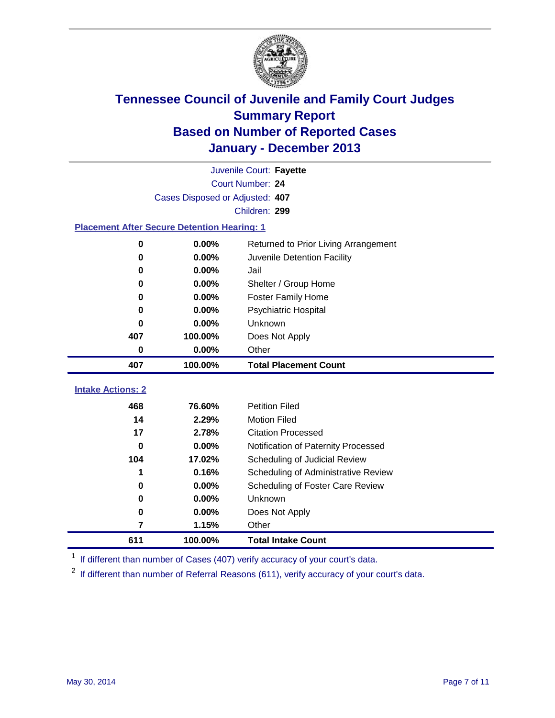

|                                                    | Juvenile Court: Fayette         |                                      |  |  |  |  |
|----------------------------------------------------|---------------------------------|--------------------------------------|--|--|--|--|
|                                                    | Court Number: 24                |                                      |  |  |  |  |
|                                                    | Cases Disposed or Adjusted: 407 |                                      |  |  |  |  |
|                                                    | Children: 299                   |                                      |  |  |  |  |
| <b>Placement After Secure Detention Hearing: 1</b> |                                 |                                      |  |  |  |  |
| 0                                                  | 0.00%                           | Returned to Prior Living Arrangement |  |  |  |  |
| 0                                                  | 0.00%                           | Juvenile Detention Facility          |  |  |  |  |
| 0                                                  | 0.00%                           | Jail                                 |  |  |  |  |
| 0                                                  | 0.00%                           | Shelter / Group Home                 |  |  |  |  |
| 0                                                  | 0.00%                           | <b>Foster Family Home</b>            |  |  |  |  |
| 0                                                  | 0.00%                           | <b>Psychiatric Hospital</b>          |  |  |  |  |
| 0                                                  | 0.00%                           | Unknown                              |  |  |  |  |
| 407                                                | 100.00%                         | Does Not Apply                       |  |  |  |  |
| 0                                                  | 0.00%                           | Other                                |  |  |  |  |
| 407                                                | 100.00%                         | <b>Total Placement Count</b>         |  |  |  |  |
|                                                    |                                 |                                      |  |  |  |  |
| <b>Intake Actions: 2</b>                           |                                 |                                      |  |  |  |  |
| 468                                                | 76.60%                          | <b>Petition Filed</b>                |  |  |  |  |
| 14                                                 | 2.29%                           | <b>Motion Filed</b>                  |  |  |  |  |
| 17                                                 | 2.78%                           | <b>Citation Processed</b>            |  |  |  |  |
| $\bf{0}$                                           | 0.00%                           | Notification of Paternity Processed  |  |  |  |  |
| 104                                                | 17.02%                          | Scheduling of Judicial Review        |  |  |  |  |
| 1                                                  | 0.16%                           | Scheduling of Administrative Review  |  |  |  |  |
| 0                                                  | 0.00%                           | Scheduling of Foster Care Review     |  |  |  |  |
| 0                                                  | 0.00%                           | Unknown                              |  |  |  |  |
| 0                                                  | 0.00%                           | Does Not Apply                       |  |  |  |  |
| 7                                                  | 1.15%                           | Other                                |  |  |  |  |
| 611                                                | 100.00%                         | <b>Total Intake Count</b>            |  |  |  |  |

<sup>1</sup> If different than number of Cases (407) verify accuracy of your court's data.

If different than number of Referral Reasons (611), verify accuracy of your court's data.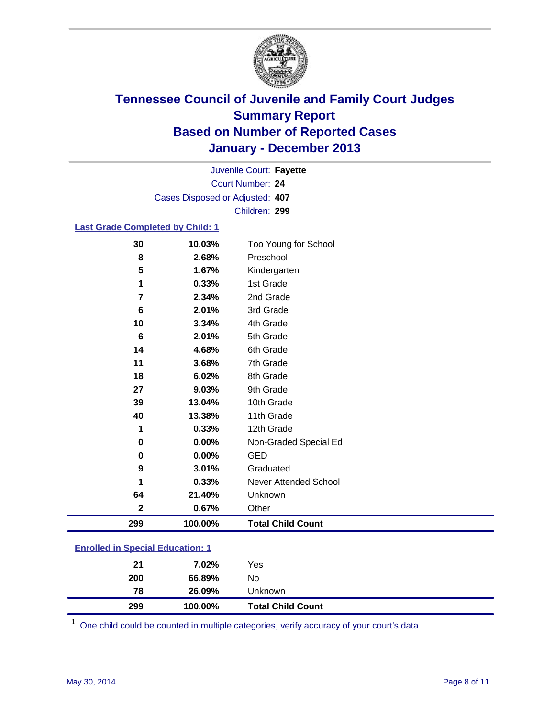

Court Number: **24** Juvenile Court: **Fayette** Cases Disposed or Adjusted: **407** Children: **299**

#### **Last Grade Completed by Child: 1**

| 30          | 10.03%  | Too Young for School     |
|-------------|---------|--------------------------|
| 8           | 2.68%   | Preschool                |
| 5           | 1.67%   | Kindergarten             |
| 1           | 0.33%   | 1st Grade                |
| 7           | 2.34%   | 2nd Grade                |
| 6           | 2.01%   | 3rd Grade                |
| 10          | 3.34%   | 4th Grade                |
| 6           | 2.01%   | 5th Grade                |
| 14          | 4.68%   | 6th Grade                |
| 11          | 3.68%   | 7th Grade                |
| 18          | 6.02%   | 8th Grade                |
| 27          | 9.03%   | 9th Grade                |
| 39          | 13.04%  | 10th Grade               |
| 40          | 13.38%  | 11th Grade               |
| 1           | 0.33%   | 12th Grade               |
| 0           | 0.00%   | Non-Graded Special Ed    |
| 0           | 0.00%   | <b>GED</b>               |
| 9           | 3.01%   | Graduated                |
| 1           | 0.33%   | Never Attended School    |
| 64          | 21.40%  | Unknown                  |
| $\mathbf 2$ | 0.67%   | Other                    |
| 299         | 100.00% | <b>Total Child Count</b> |

One child could be counted in multiple categories, verify accuracy of your court's data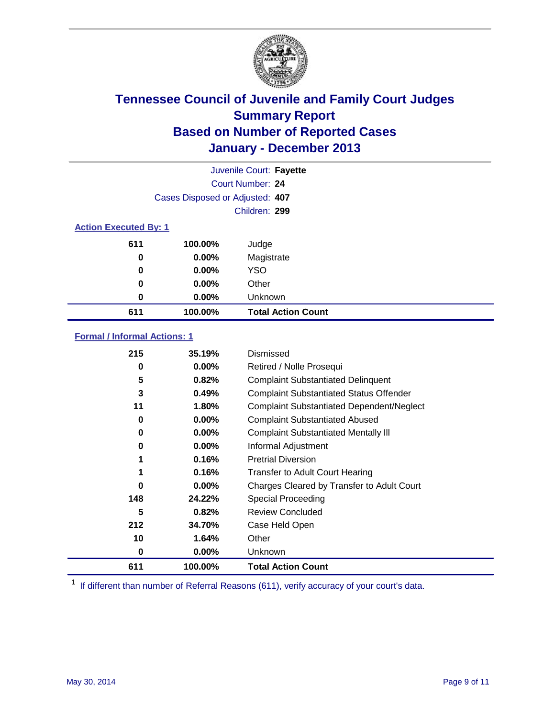

|                              |                                 | Juvenile Court: Fayette   |
|------------------------------|---------------------------------|---------------------------|
|                              |                                 | Court Number: 24          |
|                              | Cases Disposed or Adjusted: 407 |                           |
|                              |                                 | Children: 299             |
| <b>Action Executed By: 1</b> |                                 |                           |
| 611                          | 100.00%                         | Judge                     |
| 0                            | $0.00\%$                        | Magistrate                |
| 0                            | $0.00\%$                        | <b>YSO</b>                |
| 0                            | $0.00\%$                        | Other                     |
| 0                            | $0.00\%$                        | Unknown                   |
| 611                          | 100.00%                         | <b>Total Action Count</b> |

### **Formal / Informal Actions: 1**

| 215 | 35.19%   | Dismissed                                        |
|-----|----------|--------------------------------------------------|
| 0   | $0.00\%$ | Retired / Nolle Prosequi                         |
| 5   | 0.82%    | <b>Complaint Substantiated Delinquent</b>        |
| 3   | 0.49%    | <b>Complaint Substantiated Status Offender</b>   |
| 11  | 1.80%    | <b>Complaint Substantiated Dependent/Neglect</b> |
| 0   | $0.00\%$ | <b>Complaint Substantiated Abused</b>            |
| 0   | $0.00\%$ | <b>Complaint Substantiated Mentally III</b>      |
| 0   | $0.00\%$ | Informal Adjustment                              |
| 1   | 0.16%    | <b>Pretrial Diversion</b>                        |
|     | 0.16%    | <b>Transfer to Adult Court Hearing</b>           |
| 0   | $0.00\%$ | Charges Cleared by Transfer to Adult Court       |
| 148 | 24.22%   | Special Proceeding                               |
| 5   | 0.82%    | <b>Review Concluded</b>                          |
| 212 | 34.70%   | Case Held Open                                   |
| 10  | 1.64%    | Other                                            |
| 0   | $0.00\%$ | Unknown                                          |
| 611 | 100.00%  | <b>Total Action Count</b>                        |

<sup>1</sup> If different than number of Referral Reasons (611), verify accuracy of your court's data.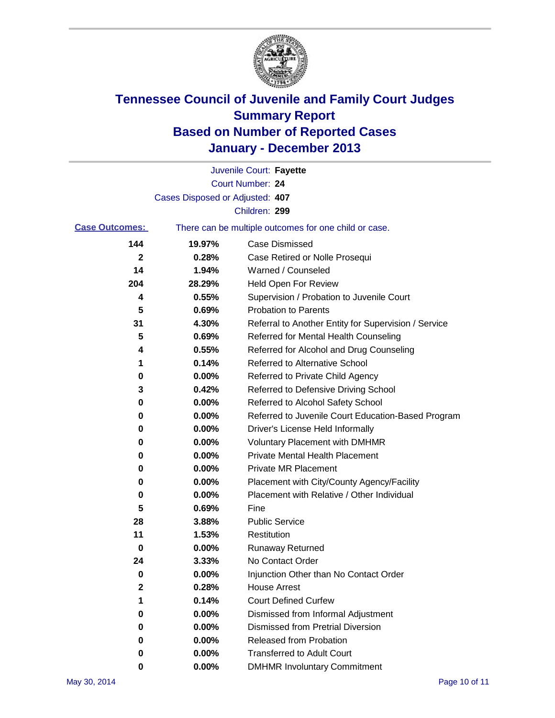

|                       |                                 | Juvenile Court: Fayette                               |
|-----------------------|---------------------------------|-------------------------------------------------------|
|                       |                                 | Court Number: 24                                      |
|                       | Cases Disposed or Adjusted: 407 |                                                       |
|                       |                                 | Children: 299                                         |
| <b>Case Outcomes:</b> |                                 | There can be multiple outcomes for one child or case. |
| 144                   | 19.97%                          | Case Dismissed                                        |
| 2                     | 0.28%                           | Case Retired or Nolle Prosequi                        |
| 14                    | 1.94%                           | Warned / Counseled                                    |
| 204                   | 28.29%                          | Held Open For Review                                  |
| 4                     | 0.55%                           | Supervision / Probation to Juvenile Court             |
| 5                     | 0.69%                           | <b>Probation to Parents</b>                           |
| 31                    | 4.30%                           | Referral to Another Entity for Supervision / Service  |
| 5                     | 0.69%                           | Referred for Mental Health Counseling                 |
| 4                     | 0.55%                           | Referred for Alcohol and Drug Counseling              |
| 1                     | 0.14%                           | <b>Referred to Alternative School</b>                 |
| 0                     | 0.00%                           | Referred to Private Child Agency                      |
| 3                     | 0.42%                           | Referred to Defensive Driving School                  |
| 0                     | 0.00%                           | Referred to Alcohol Safety School                     |
| 0                     | 0.00%                           | Referred to Juvenile Court Education-Based Program    |
| 0                     | 0.00%                           | Driver's License Held Informally                      |
| 0                     | 0.00%                           | <b>Voluntary Placement with DMHMR</b>                 |
| 0                     | 0.00%                           | <b>Private Mental Health Placement</b>                |
| 0                     | 0.00%                           | <b>Private MR Placement</b>                           |
| 0                     | 0.00%                           | Placement with City/County Agency/Facility            |
| 0                     | 0.00%                           | Placement with Relative / Other Individual            |
| 5                     | 0.69%                           | Fine                                                  |
| 28                    | 3.88%                           | <b>Public Service</b>                                 |
| 11                    | 1.53%                           | Restitution                                           |
| 0                     | 0.00%                           | <b>Runaway Returned</b>                               |
| 24                    | 3.33%                           | No Contact Order                                      |
| 0                     | 0.00%                           | Injunction Other than No Contact Order                |
| 2                     | 0.28%                           | <b>House Arrest</b>                                   |
| 1                     | 0.14%                           | <b>Court Defined Curfew</b>                           |
| 0                     | 0.00%                           | Dismissed from Informal Adjustment                    |
| 0                     | 0.00%                           | <b>Dismissed from Pretrial Diversion</b>              |
| 0                     | 0.00%                           | Released from Probation                               |
| 0                     | 0.00%                           | <b>Transferred to Adult Court</b>                     |
| 0                     | $0.00\%$                        | <b>DMHMR Involuntary Commitment</b>                   |